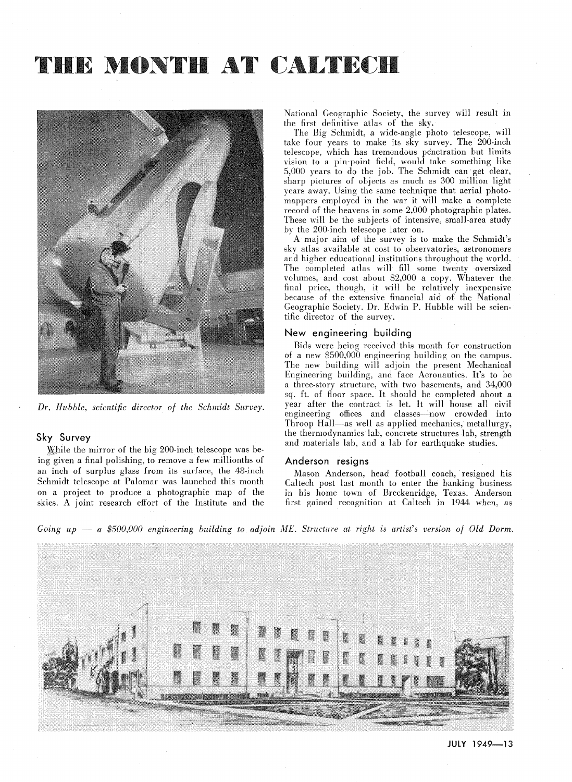# THE MONTH AT CALTECH



*Dr. Hubble, scientific director of the Schmidt Survey.* 

## Sky Survey

:While the mirror of the big 200-inch telescope was being given a final polishing, to remove a few millionths of an inch of surplus glass from its surface, the 48-inch Schmidt telescope at Palomar was launched this month on a project to produce a photographic map of the skies. A joint research effort of the Institute and the National Geographic Society, the survey will result in the first definitive atlas of the sky.

The Big Schmidt, a wide-angle photo telescope, will take four years to make its sky survey. The 200-inch telescope, which has tremendous penetration but limits vision to a pin-point field, would take something like 5,000 years to do the job. The Schmidt can get clear, sharp pictures of objects as much as 300 million light years away. Using the same technique that aerial photomappers employed in the war it will make a complete record of the heavens in some 2,000 photographic plates. These will be the subjects of intensive, small-area study by the 200-inch telescope later on.

A major aim of the survey is to make the Schmidt's sky atlas available at cost to observatories, astronomers and higher educational institutions throughout the world. The completed atlas will fill some twenty oversized volumes, and cost about \$2,000 a copy. Whatever the final price, though, it will be relatively inexpensive because of the extensive financial aid of the National Geographic Society. Dr. Edwin P. Hubble will be scientific director of the survey.

## New engineering building

Bids were being received this month for construction of a new \$500,000 engineering building on the campus. The new building will adjoin the present Mechanical Engineering building, and face Aeronautics. It's to be a three-story structure, with two basements, and 34,000 sq. ft. of floor space. It should be completed about a year after the contract is let. It will house all civil engineering offices and classes-now crowded into Throop Hall-as well as applied mechanics, metallurgy, the thermodynamics lab, concrete structures lab, strength and materials lab, and a lab for earthquake studies.

### Anderson resigns

Mason Anderson, head football coach, resigned his Caltech post last month to enter the banking business in his home town of Breckenridge, Texas. Anderson first gained recognition at Caltech in 1944 when, as

*Going up - a \$500,000 engineering building to adjoin ME. Structure at right is artist's version of Old Dorm.* 

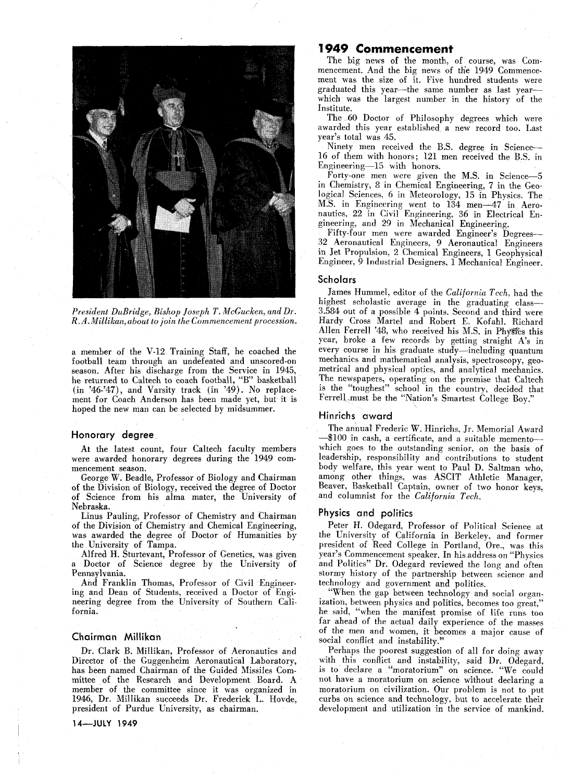

*President DuBridge, Bishop Joseph T. McGucken, and Dr. R.A.Millikan,about to join the Commencement procession.* 

a member of the V-12 Training Staff, he coached the football team through an undefeated and unscored-on season. After his discharge from the Service in 1945, he returned to Caltech to coach football, "B" basketball (in '46-'47), and Varsity track (in '49). No replacement for Coach Anderson has been made yet, but it is hoped the new man can be selected by midsummer.

## **Honorary degree**

At the latest count, four Caltech faculty members were awarded honorary degrees during the 1949 commencement season.

George W. Beadle, Professor of Biology and Chairman of the Division of Biology, received the degree of Doctor of Science from his alma mater, the University of Nebraska.

Linus Pauling, Professor of Chemistry and Chairman of the Division of Chemistry and Chemical Engineering, was awarded the degree of Doctor of Humanities by the University of Tampa.

Alfred H. Sturtevant, Professor of Genetics, was given Doctor of Science degree by the University of Pennsylvania.

And Franklin Thomas, Professor of Civil Engineering and Dean of Students, received a Doctor of Engineering degree from the University of Southern California.

## **Chairman Millikan**

Dr. Clark B. Millikan, Professor of Aeronautics and Director of the Guggenheim Aeronautical Laboratory, has been named Chairman of the Guided Missiles Committee of the Research and Development Board. A member of the committee since it was organized in 1946, Dr. Millikan succeeds Dr. Frederick L. Hovde, president of Purdue University, as chairman.

#### **14-JUlY 1949**

# **1949 Commencement**

The big news of the month, of course, was Commencement. And the big news of the 1949 Commencement was the size of it. Five hundred students were graduated this year-the same number as last yearwhich was the largest number in the history of the Institute.

The 60 Doctor of Philosophy degrees which were awarded this year established a new record too. Last year's total was 45.

Ninety men received the B.S. degree in Science-16 of them with honors; 121 men received the B.S. in Engineering-15 with honors.

Forty-one men were given the M.S. in Science-5 in Chemistry, 8 in Chemical Engineering, 7 in the Geological Sciences, 6 in Meteorology, 15 in Physics. The M.S. in Engineering went to 134 men-47 in Aeronautics, 22 in Civil Engineering, 36 in Electrical Engineering, and 29 in Mechanical Engineering.

Fifty-four men were awarded Engineer's Degrees-32 Aeronautical Engineers, 9 Aeronautical Engineers in Jet Propulsion, 2 Chemical Engineers, 1 Geophysical Engineer, 9 Industrial Designers, 1 Mechanical Engineer.

## **Scholars**

James Hummel, editor of the *California Tech,* had the highest scholastic average in the graduating class-3.584 out of a possible 4 points. Second and third were Hardy Cross Martel and Robert E. Kofahl. Richard Allen Ferrell '48, who received his M.S. in Physics this year, broke a few records by getting straight A's in every course in his graduate study-including quantum mechanics and mathematical analysis, spectroscopy, geometrical and physical optics, and analytical mechanics. The newspapers, operating on the premise that Caltech is the "toughest" school in the country, decided that FerrelLmust be the "Nation's Smartest College Boy."

## **Hinrichs award**

The annual Frederic W. Hinrichs, Jr. Memorial Award -\$100 in cash, a certificate, and a suitable mementowhich goes to the outstanding senior, on the basis of leadership, responsibility and contributions to student body welfare, this year went to Paul D. Saltman who, among other things, was ASCIT Athletic Manager, Beaver, Basketball Captain, owner of two honor keys, and columnist for the *California Tech.* 

## **Physics and politics**

Peter H. Odegard, Professor of Political Science at the University of California in Berkeley, and former president of Reed College in Portland, Ore., was this year's Commencement speaker. In his address on "Physics and Politics" Dr. Odegard reviewed the long and often stormy history of the partnership between science and technology and government and politics.

"When the gap between technology and social organization, between physics and politics, becomes too great," he said, "when the manifest promise of life runs too far ahead of the actual daily experience of the masses of the men and women, it becomes a major cause of social conflict and instability.

Perhaps the poorest suggestion of all for doing away with this conflict and instability, said Dr. Odegard, is to declare a "moratorium" on science. "We could not have a moratorium on science without declaring a moratorium on civilization. Our problem is not to put curbs on science and technology, but to accelerate their development and utilization in the service of mankind.